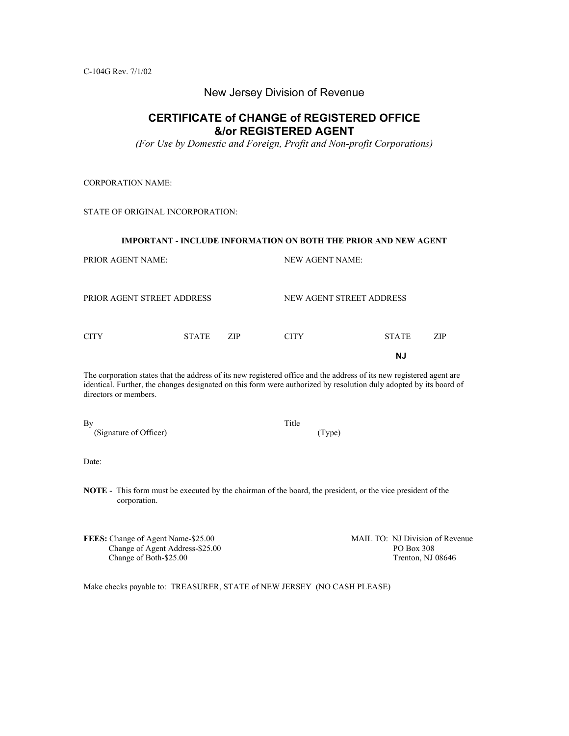C-104G Rev. 7/1/02

#### New Jersey Division of Revenue

### **CERTIFICATE of CHANGE of REGISTERED OFFICE &/or REGISTERED AGENT**

*(For Use by Domestic and Foreign, Profit and Non-profit Corporations)* 

CORPORATION NAME:

STATE OF ORIGINAL INCORPORATION:

# **IMPORTANT - INCLUDE INFORMATION ON BOTH THE PRIOR AND NEW AGENT**  PRIOR AGENT NAME: NEW AGENT NAME: PRIOR AGENT STREET ADDRESS NEW AGENT STREET ADDRESS CITY STATE ZIP CITY STATE ZIP **NJ**  The corporation states that the address of its new registered office and the address of its new registered agent are

identical. Further, the changes designated on this form were authorized by resolution duly adopted by its board of directors or members.

| By                     | Title  |  |
|------------------------|--------|--|
| (Signature of Officer) | (Type) |  |

| I                           |  |
|-----------------------------|--|
| $\sim$<br>۰.<br>×<br>۹<br>× |  |

**NOTE** - This form must be executed by the chairman of the board, the president, or the vice president of the corporation.

**FEES:** Change of Agent Name-\$25.00 MAIL TO: NJ Division of Revenue<br>Change of Agent Address-\$25.00 PO Box 308 Change of Agent Address-\$25.00 PO Box 308<br>
Change of Both-\$25.00 Trenton, NJ 08646 Change of Both- $$25.00$ 

Make checks payable to: TREASURER, STATE of NEW JERSEY (NO CASH PLEASE)